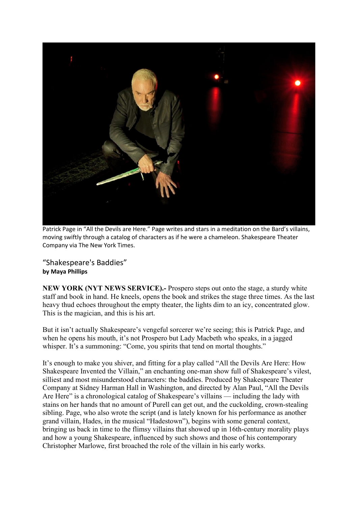

Patrick Page in "All the Devils are Here." Page writes and stars in a meditation on the Bard's villains, moving swiftly through a catalog of characters as if he were a chameleon. Shakespeare Theater Company via The New York Times.

"Shakespeare's Baddies" **by Maya Phillips**

**NEW YORK (NYT NEWS SERVICE).-** Prospero steps out onto the stage, a sturdy white staff and book in hand. He kneels, opens the book and strikes the stage three times. As the last heavy thud echoes throughout the empty theater, the lights dim to an icy, concentrated glow. This is the magician, and this is his art.

But it isn't actually Shakespeare's vengeful sorcerer we're seeing; this is Patrick Page, and when he opens his mouth, it's not Prospero but Lady Macbeth who speaks, in a jagged whisper. It's a summoning: "Come, you spirits that tend on mortal thoughts."

It's enough to make you shiver, and fitting for a play called "All the Devils Are Here: How Shakespeare Invented the Villain," an enchanting one-man show full of Shakespeare's vilest, silliest and most misunderstood characters: the baddies. Produced by Shakespeare Theater Company at Sidney Harman Hall in Washington, and directed by Alan Paul, "All the Devils Are Here" is a chronological catalog of Shakespeare's villains — including the lady with stains on her hands that no amount of Purell can get out, and the cuckolding, crown-stealing sibling. Page, who also wrote the script (and is lately known for his performance as another grand villain, Hades, in the musical "Hadestown"), begins with some general context, bringing us back in time to the flimsy villains that showed up in 16th-century morality plays and how a young Shakespeare, influenced by such shows and those of his contemporary Christopher Marlowe, first broached the role of the villain in his early works.